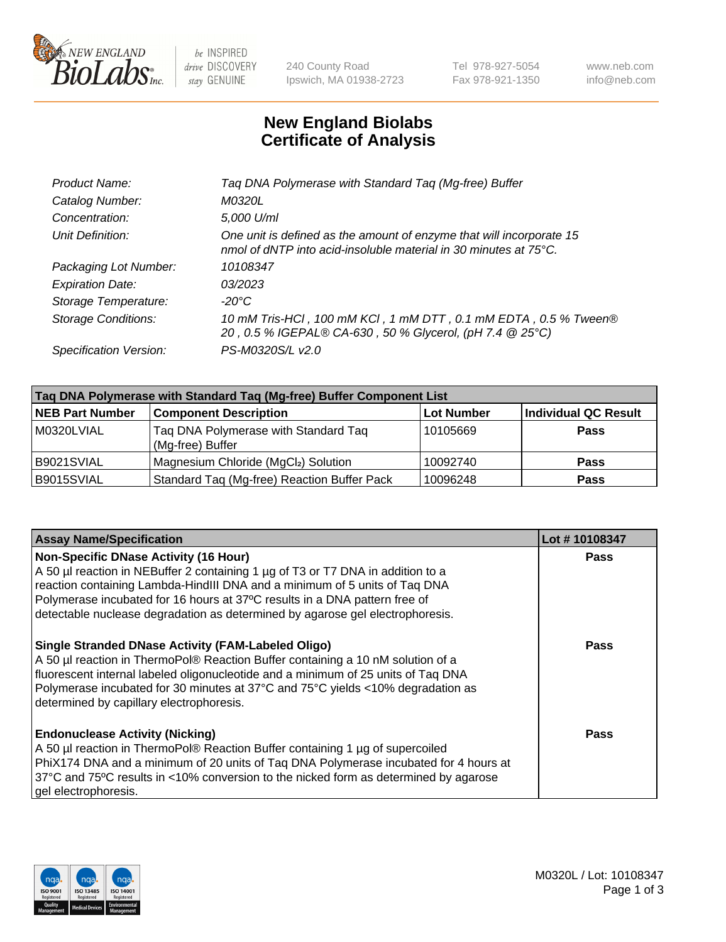

 $be$  INSPIRED drive DISCOVERY stay GENUINE

240 County Road Ipswich, MA 01938-2723 Tel 978-927-5054 Fax 978-921-1350 www.neb.com info@neb.com

## **New England Biolabs Certificate of Analysis**

| Taq DNA Polymerase with Standard Taq (Mg-free) Buffer                                                                                    |
|------------------------------------------------------------------------------------------------------------------------------------------|
| M0320L                                                                                                                                   |
| 5,000 U/ml                                                                                                                               |
| One unit is defined as the amount of enzyme that will incorporate 15<br>nmol of dNTP into acid-insoluble material in 30 minutes at 75°C. |
| 10108347                                                                                                                                 |
| 03/2023                                                                                                                                  |
| $-20^{\circ}$ C                                                                                                                          |
| 10 mM Tris-HCl, 100 mM KCl, 1 mM DTT, 0.1 mM EDTA, 0.5 % Tween®<br>20, 0.5 % IGEPAL® CA-630, 50 % Glycerol, (pH 7.4 @ 25°C)              |
| PS-M0320S/L v2.0                                                                                                                         |
|                                                                                                                                          |

| Taq DNA Polymerase with Standard Taq (Mg-free) Buffer Component List |                                                          |                   |                             |  |  |
|----------------------------------------------------------------------|----------------------------------------------------------|-------------------|-----------------------------|--|--|
| <b>NEB Part Number</b>                                               | <b>Component Description</b>                             | <b>Lot Number</b> | <b>Individual QC Result</b> |  |  |
| M0320LVIAL                                                           | Tag DNA Polymerase with Standard Tag<br>(Mg-free) Buffer | 10105669          | <b>Pass</b>                 |  |  |
| B9021SVIAL                                                           | Magnesium Chloride (MgCl2) Solution                      | 10092740          | Pass                        |  |  |
| B9015SVIAL                                                           | Standard Taq (Mg-free) Reaction Buffer Pack              | 10096248          | <b>Pass</b>                 |  |  |

| <b>Assay Name/Specification</b>                                                                                                                                                                                                                                                                                                                                              | Lot #10108347 |
|------------------------------------------------------------------------------------------------------------------------------------------------------------------------------------------------------------------------------------------------------------------------------------------------------------------------------------------------------------------------------|---------------|
| <b>Non-Specific DNase Activity (16 Hour)</b><br>A 50 µl reaction in NEBuffer 2 containing 1 µg of T3 or T7 DNA in addition to a<br>reaction containing Lambda-HindIII DNA and a minimum of 5 units of Taq DNA<br>Polymerase incubated for 16 hours at 37°C results in a DNA pattern free of<br>detectable nuclease degradation as determined by agarose gel electrophoresis. | <b>Pass</b>   |
| <b>Single Stranded DNase Activity (FAM-Labeled Oligo)</b><br>A 50 µl reaction in ThermoPol® Reaction Buffer containing a 10 nM solution of a<br>fluorescent internal labeled oligonucleotide and a minimum of 25 units of Taq DNA<br>Polymerase incubated for 30 minutes at 37°C and 75°C yields <10% degradation as<br>determined by capillary electrophoresis.             | <b>Pass</b>   |
| <b>Endonuclease Activity (Nicking)</b><br>A 50 µl reaction in ThermoPol® Reaction Buffer containing 1 µg of supercoiled<br>PhiX174 DNA and a minimum of 20 units of Taq DNA Polymerase incubated for 4 hours at<br>37°C and 75°C results in <10% conversion to the nicked form as determined by agarose<br>gel electrophoresis.                                              | Pass          |

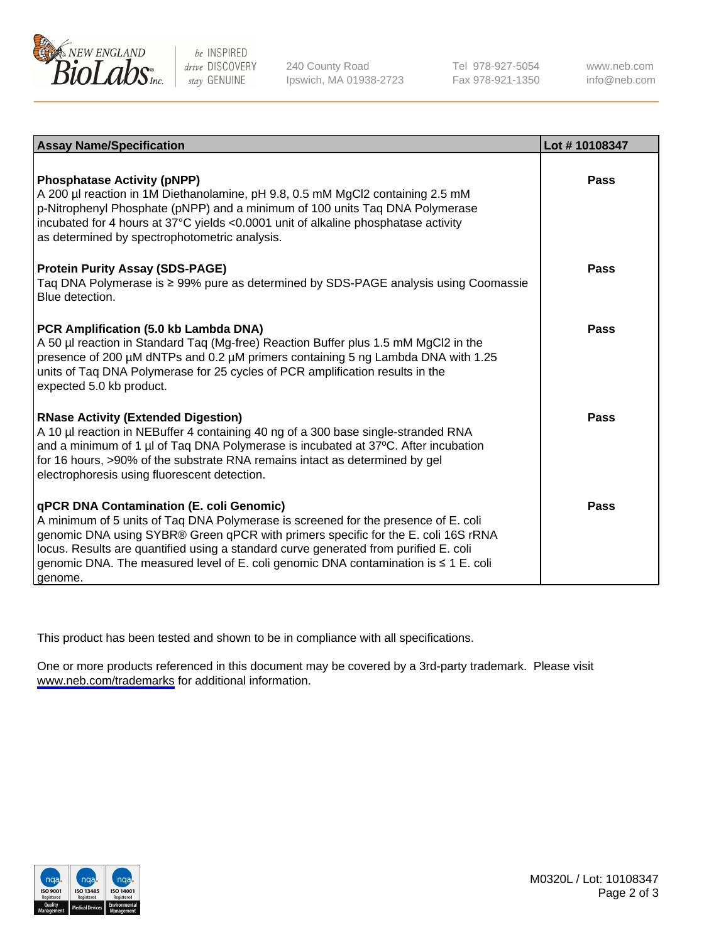

be INSPIRED drive DISCOVERY stay GENUINE

240 County Road Ipswich, MA 01938-2723 Tel 978-927-5054 Fax 978-921-1350

www.neb.com info@neb.com

| <b>Assay Name/Specification</b>                                                                                                                                                                                                                                                                                                                                                                               | Lot #10108347 |
|---------------------------------------------------------------------------------------------------------------------------------------------------------------------------------------------------------------------------------------------------------------------------------------------------------------------------------------------------------------------------------------------------------------|---------------|
| <b>Phosphatase Activity (pNPP)</b><br>A 200 µl reaction in 1M Diethanolamine, pH 9.8, 0.5 mM MgCl2 containing 2.5 mM<br>p-Nitrophenyl Phosphate (pNPP) and a minimum of 100 units Taq DNA Polymerase<br>incubated for 4 hours at 37°C yields <0.0001 unit of alkaline phosphatase activity<br>as determined by spectrophotometric analysis.                                                                   | <b>Pass</b>   |
| <b>Protein Purity Assay (SDS-PAGE)</b><br>Taq DNA Polymerase is ≥ 99% pure as determined by SDS-PAGE analysis using Coomassie<br>Blue detection.                                                                                                                                                                                                                                                              | Pass          |
| PCR Amplification (5.0 kb Lambda DNA)<br>A 50 µl reaction in Standard Taq (Mg-free) Reaction Buffer plus 1.5 mM MgCl2 in the<br>presence of 200 µM dNTPs and 0.2 µM primers containing 5 ng Lambda DNA with 1.25<br>units of Taq DNA Polymerase for 25 cycles of PCR amplification results in the<br>expected 5.0 kb product.                                                                                 | <b>Pass</b>   |
| <b>RNase Activity (Extended Digestion)</b><br>A 10 µl reaction in NEBuffer 4 containing 40 ng of a 300 base single-stranded RNA<br>and a minimum of 1 µl of Taq DNA Polymerase is incubated at 37°C. After incubation<br>for 16 hours, >90% of the substrate RNA remains intact as determined by gel<br>electrophoresis using fluorescent detection.                                                          | <b>Pass</b>   |
| qPCR DNA Contamination (E. coli Genomic)<br>A minimum of 5 units of Taq DNA Polymerase is screened for the presence of E. coli<br>genomic DNA using SYBR® Green qPCR with primers specific for the E. coli 16S rRNA<br>locus. Results are quantified using a standard curve generated from purified E. coli<br>genomic DNA. The measured level of E. coli genomic DNA contamination is ≤ 1 E. coli<br>genome. | <b>Pass</b>   |

This product has been tested and shown to be in compliance with all specifications.

One or more products referenced in this document may be covered by a 3rd-party trademark. Please visit <www.neb.com/trademarks>for additional information.